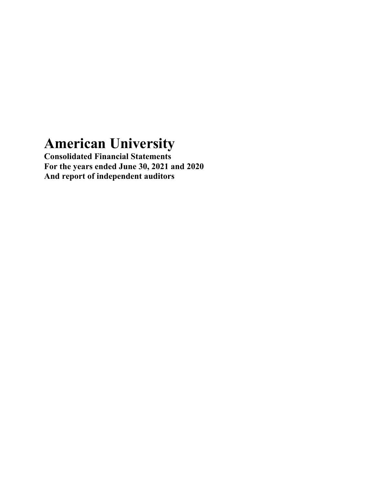# **American University**

**Consolidated Financial Statements For the years ended June 30, 2021 and 2020 And report of independent auditors**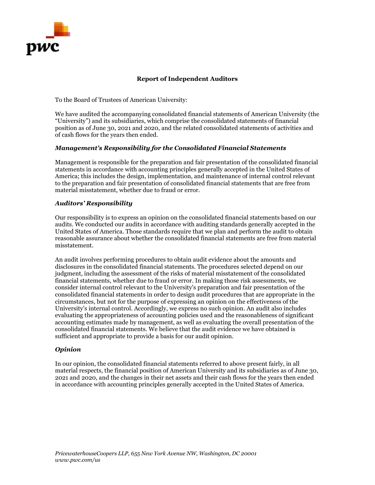

#### **Report of Independent Auditors**

To the Board of Trustees of American University:

We have audited the accompanying consolidated financial statements of American University (the "University") and its subsidiaries, which comprise the consolidated statements of financial position as of June 30, 2021 and 2020, and the related consolidated statements of activities and of cash flows for the years then ended.

#### *Management's Responsibility for the Consolidated Financial Statements*

Management is responsible for the preparation and fair presentation of the consolidated financial statements in accordance with accounting principles generally accepted in the United States of America; this includes the design, implementation, and maintenance of internal control relevant to the preparation and fair presentation of consolidated financial statements that are free from material misstatement, whether due to fraud or error.

#### *Auditors' Responsibility*

Our responsibility is to express an opinion on the consolidated financial statements based on our audits. We conducted our audits in accordance with auditing standards generally accepted in the United States of America. Those standards require that we plan and perform the audit to obtain reasonable assurance about whether the consolidated financial statements are free from material misstatement.

An audit involves performing procedures to obtain audit evidence about the amounts and disclosures in the consolidated financial statements. The procedures selected depend on our judgment, including the assessment of the risks of material misstatement of the consolidated financial statements, whether due to fraud or error. In making those risk assessments, we consider internal control relevant to the University's preparation and fair presentation of the consolidated financial statements in order to design audit procedures that are appropriate in the circumstances, but not for the purpose of expressing an opinion on the effectiveness of the University's internal control. Accordingly, we express no such opinion. An audit also includes evaluating the appropriateness of accounting policies used and the reasonableness of significant accounting estimates made by management, as well as evaluating the overall presentation of the consolidated financial statements. We believe that the audit evidence we have obtained is sufficient and appropriate to provide a basis for our audit opinion.

#### *Opinion*

In our opinion, the consolidated financial statements referred to above present fairly, in all material respects, the financial position of American University and its subsidiaries as of June 30, 2021 and 2020, and the changes in their net assets and their cash flows for the years then ended in accordance with accounting principles generally accepted in the United States of America.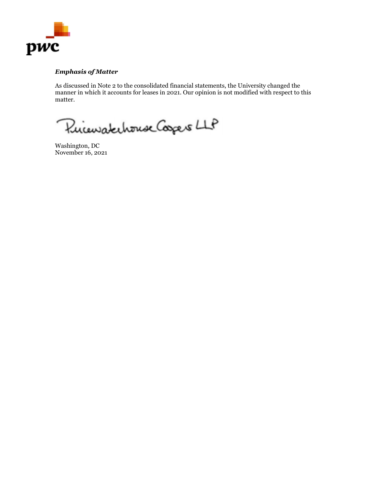

#### *Emphasis of Matter*

As discussed in Note 2 to the consolidated financial statements, the University changed the manner in which it accounts for leases in 2021. Our opinion is not modified with respect to this matter.

Pricewatchouse Coopers LLP

Washington, DC November 16, 2021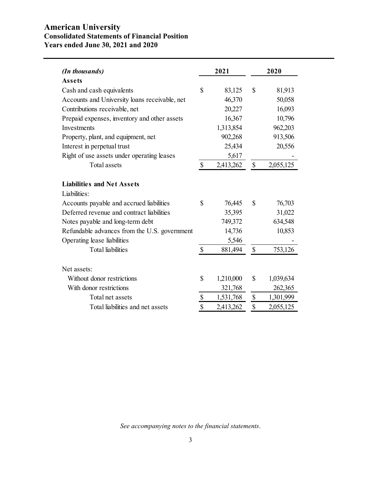## **American University Consolidated Statements of Financial Position Years ended June 30, 2021 and 2020**

| (In thousands)                                | 2021                      |           |                           | 2020      |
|-----------------------------------------------|---------------------------|-----------|---------------------------|-----------|
| <b>Assets</b>                                 |                           |           |                           |           |
| Cash and cash equivalents                     | \$                        | 83,125    | \$                        | 81,913    |
| Accounts and University loans receivable, net |                           | 46,370    |                           | 50,058    |
| Contributions receivable, net                 |                           | 20,227    |                           | 16,093    |
| Prepaid expenses, inventory and other assets  |                           | 16,367    |                           | 10,796    |
| Investments                                   |                           | 1,313,854 |                           | 962,203   |
| Property, plant, and equipment, net           |                           | 902,268   |                           | 913,506   |
| Interest in perpetual trust                   |                           | 25,434    |                           | 20,556    |
| Right of use assets under operating leases    |                           | 5,617     |                           |           |
| <b>Total</b> assets                           | \$                        | 2,413,262 | \$                        | 2,055,125 |
| <b>Liabilities and Net Assets</b>             |                           |           |                           |           |
| Liabilities:                                  |                           |           |                           |           |
| Accounts payable and accrued liabilities      | $\mathbb{S}$              | 76,445    | \$                        | 76,703    |
| Deferred revenue and contract liabilities     |                           | 35,395    |                           | 31,022    |
| Notes payable and long-term debt              |                           | 749,372   |                           | 634,548   |
| Refundable advances from the U.S. government  |                           | 14,736    |                           | 10,853    |
| Operating lease liabilities                   |                           | 5,546     |                           |           |
| <b>Total liabilities</b>                      | $\boldsymbol{\mathsf{S}}$ | 881,494   | $\mathcal{S}$             | 753,126   |
| Net assets:                                   |                           |           |                           |           |
| Without donor restrictions                    | \$                        | 1,210,000 | \$                        | 1,039,634 |
| With donor restrictions                       |                           | 321,768   |                           | 262,365   |
| Total net assets                              | \$                        | 1,531,768 | $\boldsymbol{\mathsf{S}}$ | 1,301,999 |
| Total liabilities and net assets              | \$                        | 2,413,262 | \$                        | 2,055,125 |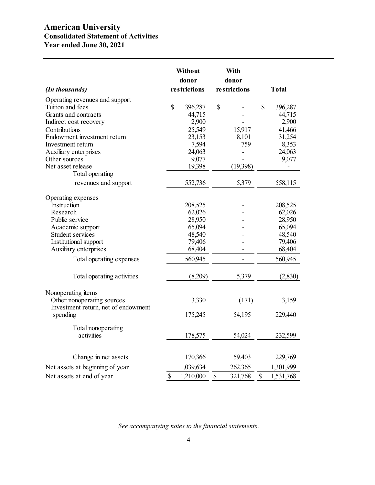# **American University Consolidated Statement of Activities Year ended June 30, 2021**

| (In thousands)                                                             |              | Without<br>donor<br>restrictions |    | With<br>donor<br>restrictions | <b>Total</b>            |
|----------------------------------------------------------------------------|--------------|----------------------------------|----|-------------------------------|-------------------------|
|                                                                            |              |                                  |    |                               |                         |
| Operating revenues and support<br>Tuition and fees<br>Grants and contracts | $\mathbb{S}$ | 396,287<br>44,715                | \$ |                               | \$<br>396,287<br>44,715 |
| Indirect cost recovery<br>Contributions                                    |              | 2,900<br>25,549                  |    | 15,917                        | 2,900<br>41,466         |
| Endowment investment return<br>Investment return                           |              | 23,153<br>7,594                  |    | 8,101<br>759                  | 31,254<br>8,353         |
| Auxiliary enterprises<br>Other sources                                     |              | 24,063<br>9,077                  |    |                               | 24,063<br>9,077         |
| Net asset release<br>Total operating                                       |              | 19,398                           |    | (19,398)                      |                         |
| revenues and support                                                       |              | 552,736                          |    | 5,379                         | 558,115                 |
| Operating expenses                                                         |              |                                  |    |                               |                         |
| Instruction                                                                |              | 208,525                          |    |                               | 208,525                 |
| Research                                                                   |              | 62,026                           |    |                               | 62,026                  |
| Public service                                                             |              | 28,950                           |    |                               | 28,950                  |
| Academic support                                                           |              | 65,094                           |    |                               | 65,094                  |
| Student services                                                           |              | 48,540                           |    |                               | 48,540                  |
| Institutional support<br>Auxiliary enterprises                             |              | 79,406<br>68,404                 |    |                               | 79,406<br>68,404        |
| Total operating expenses                                                   |              | 560,945                          |    | $\overline{\phantom{0}}$      | 560,945                 |
| Total operating activities                                                 |              | (8,209)                          |    | 5,379                         | (2,830)                 |
| Nonoperating items                                                         |              |                                  |    |                               |                         |
| Other nonoperating sources<br>Investment return, net of endowment          |              | 3,330                            |    | (171)                         | 3,159                   |
| spending                                                                   |              | 175,245                          |    | 54,195                        | 229,440                 |
| Total nonoperating<br>activities                                           |              | 178,575                          |    | 54,024                        | 232,599                 |
|                                                                            |              |                                  |    |                               |                         |
| Change in net assets                                                       |              | 170,366                          |    | 59,403                        | 229,769                 |
| Net assets at beginning of year                                            |              | 1,039,634                        |    | 262,365                       | 1,301,999               |
| Net assets at end of year                                                  | \$           | 1,210,000                        | \$ | 321,768                       | \$<br>1,531,768         |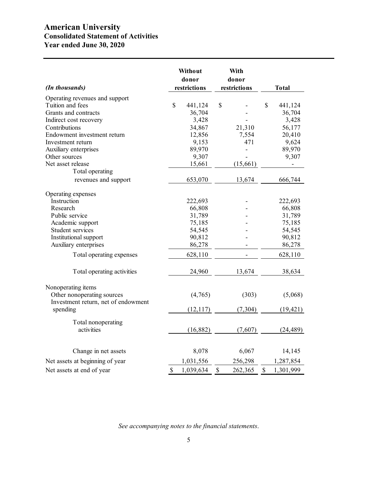# **American University Consolidated Statement of Activities Year ended June 30, 2020**

| (In thousands)                      | Without<br>donor<br>restrictions |           |                    | With<br>donor<br>restrictions | <b>Total</b>    |
|-------------------------------------|----------------------------------|-----------|--------------------|-------------------------------|-----------------|
| Operating revenues and support      |                                  |           |                    |                               |                 |
| Tuition and fees                    | $\mathbb{S}$                     | 441,124   | \$                 |                               | \$<br>441,124   |
| Grants and contracts                |                                  | 36,704    |                    |                               | 36,704          |
| Indirect cost recovery              |                                  | 3,428     |                    |                               | 3,428           |
| Contributions                       |                                  | 34,867    |                    | 21,310                        | 56,177          |
| Endowment investment return         |                                  | 12,856    |                    | 7,554                         | 20,410          |
| Investment return                   |                                  | 9,153     |                    | 471                           | 9,624           |
| Auxiliary enterprises               |                                  | 89,970    |                    |                               | 89,970          |
| Other sources                       |                                  | 9,307     |                    |                               | 9,307           |
| Net asset release                   |                                  | 15,661    |                    | (15, 661)                     |                 |
| Total operating                     |                                  |           |                    |                               |                 |
| revenues and support                |                                  | 653,070   |                    | 13,674                        | 666,744         |
| Operating expenses                  |                                  |           |                    |                               |                 |
| Instruction                         |                                  | 222,693   |                    |                               | 222,693         |
| Research                            |                                  | 66,808    |                    |                               | 66,808          |
| Public service                      |                                  | 31,789    |                    |                               | 31,789          |
| Academic support                    |                                  | 75,185    |                    |                               | 75,185          |
| Student services                    |                                  | 54,545    |                    |                               | 54,545          |
| Institutional support               |                                  | 90,812    |                    |                               | 90,812          |
| Auxiliary enterprises               |                                  | 86,278    |                    |                               | 86,278          |
| Total operating expenses            |                                  | 628,110   |                    |                               | 628,110         |
| Total operating activities          |                                  | 24,960    |                    | 13,674                        | 38,634          |
| Nonoperating items                  |                                  |           |                    |                               |                 |
| Other nonoperating sources          |                                  | (4,765)   |                    | (303)                         | (5,068)         |
| Investment return, net of endowment |                                  |           |                    |                               |                 |
| spending                            |                                  | (12, 117) |                    | (7,304)                       | (19, 421)       |
| Total nonoperating                  |                                  |           |                    |                               |                 |
| activities                          |                                  | (16, 882) |                    | (7,607)                       | (24, 489)       |
| Change in net assets                |                                  | 8,078     |                    | 6,067                         | 14,145          |
| Net assets at beginning of year     |                                  | 1,031,556 |                    | 256,298                       | 1,287,854       |
| Net assets at end of year           | \$                               | 1,039,634 | $\mathbf{\hat{S}}$ | 262,365                       | \$<br>1,301,999 |
|                                     |                                  |           |                    |                               |                 |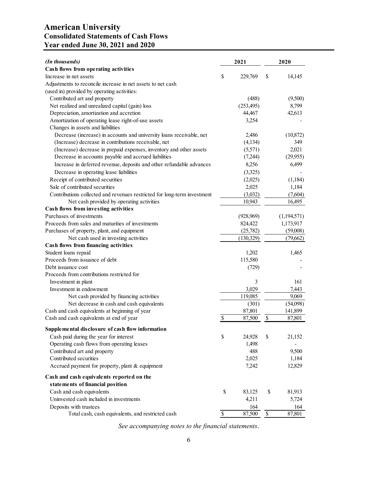# **American University Consolidated Statements of Cash Flows Year ended June 30, 2021 and 2020**

| (In thousands)                                                           |                          | 2021       | 2020                     |             |  |
|--------------------------------------------------------------------------|--------------------------|------------|--------------------------|-------------|--|
| Cash flows from operating activities                                     |                          |            |                          |             |  |
| Increase in net assets                                                   | \$                       | 229,769    | \$                       | 14,145      |  |
| Adjustments to reconcile increase in net assets to net cash              |                          |            |                          |             |  |
| (used in) provided by operating activities:                              |                          |            |                          |             |  |
| Contributed art and property                                             |                          | (488)      |                          | (9,500)     |  |
| Net realized and unrealized capital (gain) loss                          |                          | (253, 495) |                          | 8,799       |  |
| Depreciation, amortization and accretion                                 |                          | 44,467     |                          | 42,613      |  |
| Amortization of operating lease right-of-use assets                      |                          | 3,254      |                          |             |  |
| Changes in assets and liabilities                                        |                          |            |                          |             |  |
| Decrease (increase) in accounts and university loans receivable, net     |                          | 2,486      |                          | (10, 872)   |  |
| (Increase) decrease in contributions receivable, net                     |                          | (4, 134)   |                          | 349         |  |
| (Increase) decrease in prepaid expenses, inventory and other assets      |                          | (5,571)    |                          | 2,021       |  |
| Decrease in accounts payable and accrued liabilities                     |                          | (7,244)    |                          | (29,955)    |  |
| Increase in deferred revenue, deposits and other refundable advances     |                          | 8,256      |                          | 6,499       |  |
| Decrease in operating lease liabilities                                  |                          | (3,325)    |                          |             |  |
| Receipt of contributed securities                                        |                          | (2,025)    |                          | (1,184)     |  |
| Sale of contributed securities                                           |                          | 2,025      |                          | 1,184       |  |
| Contributions collected and revenues restricted for long-term investment |                          | (3,032)    |                          | (7,604)     |  |
| Net cash provided by operating activities                                |                          | 10,943     |                          | 16,495      |  |
| Cash flows from investing activities                                     |                          |            |                          |             |  |
| Purchases of investments                                                 |                          | (928, 969) |                          | (1,194,571) |  |
| Proceeds from sales and maturities of investments                        |                          | 824,422    |                          | 1,173,917   |  |
| Purchases of property, plant, and equipment                              |                          | (25,782)   |                          | (59,008)    |  |
| Net cash used in investing activities                                    |                          | (130, 329) |                          | (79,662)    |  |
| Cash flows from financing activities                                     |                          |            |                          |             |  |
| Student loans repaid                                                     |                          | 1,202      |                          | 1,465       |  |
| Proceeds from issuance of debt                                           |                          | 115,580    |                          |             |  |
| Debt issuance cost                                                       |                          | (729)      |                          |             |  |
| Proceeds from contributions restricted for                               |                          |            |                          |             |  |
| Investment in plant                                                      |                          | 3          |                          | 161         |  |
| Investment in endowment                                                  |                          | 3,029      |                          | 7,443       |  |
| Net cash provided by financing activities                                |                          | 119,085    |                          | 9,069       |  |
| Net decrease in cash and cash equivalents                                |                          | (301)      |                          | (54,098)    |  |
| Cash and cash equivalents at beginning of year                           |                          | 87,801     |                          | 141,899     |  |
| Cash and cash equivalents at end of year                                 | \$                       | 87,500     | $\$$                     | 87,801      |  |
|                                                                          |                          |            |                          |             |  |
| Supplemental disclosure of cash flow information                         |                          |            |                          |             |  |
| Cash paid during the year for interest                                   | \$                       | 24,928     | \$                       | 21,152      |  |
| Operating cash flows from operating leases                               |                          | 1,498      |                          |             |  |
| Contributed art and property                                             |                          | 488        |                          | 9,500       |  |
| Contributed securities                                                   |                          | 2,025      |                          | 1,184       |  |
| Accrued payment for property, plant & equipment                          |                          | 7,242      |                          | 12,829      |  |
| Cash and cash equivalents reported on the                                |                          |            |                          |             |  |
| statements of financial position                                         |                          |            |                          |             |  |
| Cash and cash equivalents                                                | \$                       | 83,125     | \$                       | 81,913      |  |
| Uninvested cash included in investments                                  |                          | 4,211      |                          | 5,724       |  |
| Deposits with trustees                                                   |                          | 164        |                          | 164         |  |
| Total cash, cash equivalents, and restricted cash                        | $\overline{\mathcal{S}}$ | 87,500     | $\overline{\mathcal{S}}$ | 87,801      |  |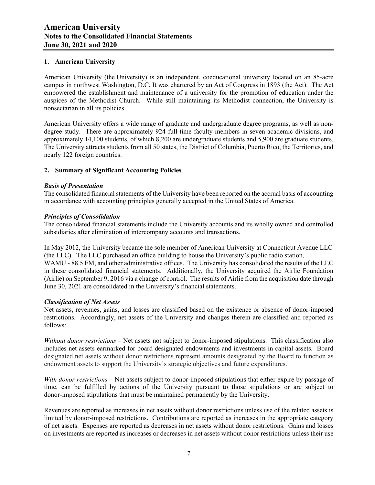#### **1. American University**

American University (the University) is an independent, coeducational university located on an 85-acre campus in northwest Washington, D.C. It was chartered by an Act of Congress in 1893 (the Act). The Act empowered the establishment and maintenance of a university for the promotion of education under the auspices of the Methodist Church. While still maintaining its Methodist connection, the University is nonsectarian in all its policies.

American University offers a wide range of graduate and undergraduate degree programs, as well as nondegree study. There are approximately 924 full-time faculty members in seven academic divisions, and approximately 14,100 students, of which 8,200 are undergraduate students and 5,900 are graduate students. The University attracts students from all 50 states, the District of Columbia, Puerto Rico, the Territories, and nearly 122 foreign countries.

#### **2. Summary of Significant Accounting Policies**

#### *Basis of Presentation*

The consolidated financial statements of the University have been reported on the accrual basis of accounting in accordance with accounting principles generally accepted in the United States of America.

#### *Principles of Consolidation*

The consolidated financial statements include the University accounts and its wholly owned and controlled subsidiaries after elimination of intercompany accounts and transactions.

In May 2012, the University became the sole member of American University at Connecticut Avenue LLC (the LLC). The LLC purchased an office building to house the University's public radio station, WAMU - 88.5 FM, and other administrative offices. The University has consolidated the results of the LLC in these consolidated financial statements. Additionally, the University acquired the Airlie Foundation (Airlie) on September 9, 2016 via a change of control. The results of Airlie from the acquisition date through June 30, 2021 are consolidated in the University's financial statements.

#### *Classification of Net Assets*

Net assets, revenues, gains, and losses are classified based on the existence or absence of donor-imposed restrictions. Accordingly, net assets of the University and changes therein are classified and reported as follows:

*Without donor restrictions* – Net assets not subject to donor-imposed stipulations. This classification also includes net assets earmarked for board designated endowments and investments in capital assets. Board designated net assets without donor restrictions represent amounts designated by the Board to function as endowment assets to support the University's strategic objectives and future expenditures.

*With donor restrictions* – Net assets subject to donor-imposed stipulations that either expire by passage of time, can be fulfilled by actions of the University pursuant to those stipulations or are subject to donor-imposed stipulations that must be maintained permanently by the University.

Revenues are reported as increases in net assets without donor restrictions unless use of the related assets is limited by donor-imposed restrictions. Contributions are reported as increases in the appropriate category of net assets. Expenses are reported as decreases in net assets without donor restrictions. Gains and losses on investments are reported as increases or decreases in net assets without donor restrictions unless their use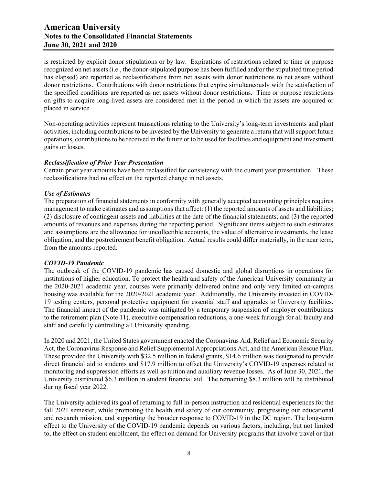is restricted by explicit donor stipulations or by law. Expirations of restrictions related to time or purpose recognized on net assets (i.e., the donor-stipulated purpose has been fulfilled and/or the stipulated time period has elapsed) are reported as reclassifications from net assets with donor restrictions to net assets without donor restrictions. Contributions with donor restrictions that expire simultaneously with the satisfaction of the specified conditions are reported as net assets without donor restrictions. Time or purpose restrictions on gifts to acquire long-lived assets are considered met in the period in which the assets are acquired or placed in service.

Non-operating activities represent transactions relating to the University's long-term investments and plant activities, including contributions to be invested by the University to generate a return that will support future operations, contributions to be received in the future or to be used for facilities and equipment and investment gains or losses.

#### *Reclassification of Prior Year Presentation*

Certain prior year amounts have been reclassified for consistency with the current year presentation. These reclassifications had no effect on the reported change in net assets.

#### *Use of Estimates*

The preparation of financial statements in conformity with generally accepted accounting principles requires management to make estimates and assumptions that affect: (1) the reported amounts of assets and liabilities; (2) disclosure of contingent assets and liabilities at the date of the financial statements; and (3) the reported amounts of revenues and expenses during the reporting period. Significant items subject to such estimates and assumptions are the allowance for uncollectible accounts, the value of alternative investments, the lease obligation, and the postretirement benefit obligation. Actual results could differ materially, in the near term, from the amounts reported.

#### *COVID-19 Pandemic*

The outbreak of the COVID-19 pandemic has caused domestic and global disruptions in operations for institutions of higher education. To protect the health and safety of the American University community in the 2020-2021 academic year, courses were primarily delivered online and only very limited on-campus housing was available for the 2020-2021 academic year. Additionally, the University invested in COVID-19 testing centers, personal protective equipment for essential staff and upgrades to University facilities. The financial impact of the pandemic was mitigated by a temporary suspension of employer contributions to the retirement plan (Note 11), executive compensation reductions, a one-week furlough for all faculty and staff and carefully controlling all University spending.

In 2020 and 2021, the United States government enacted the Coronavirus Aid, Relief and Economic Security Act, the Coronavirus Response and Relief Supplemental Appropriations Act, and the American Rescue Plan. These provided the University with \$32.5 million in federal grants, \$14.6 million was designated to provide direct financial aid to students and \$17.9 million to offset the University's COVID-19 expenses related to monitoring and suppression efforts as well as tuition and auxiliary revenue losses. As of June 30, 2021, the University distributed \$6.3 million in student financial aid. The remaining \$8.3 million will be distributed during fiscal year 2022.

The University achieved its goal of returning to full in-person instruction and residential experiences for the fall 2021 semester, while promoting the health and safety of our community, progressing our educational and research mission, and supporting the broader response to COVID-19 in the DC region. The long-term effect to the University of the COVID-19 pandemic depends on various factors, including, but not limited to, the effect on student enrollment, the effect on demand for University programs that involve travel or that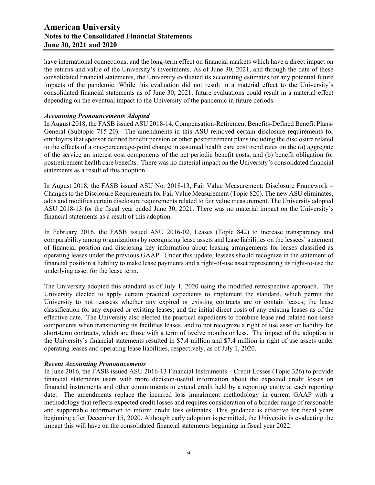have international connections, and the long-term effect on financial markets which have a direct impact on the returns and value of the University's investments. As of June 30, 2021, and through the date of these consolidated financial statements, the University evaluated its accounting estimates for any potential future impacts of the pandemic. While this evaluation did not result in a material effect to the University's consolidated financial statements as of June 30, 2021, future evaluations could result in a material effect depending on the eventual impact to the University of the pandemic in future periods.

#### *Accounting Pronouncements Adopted*

In August 2018, the FASB issued ASU 2018-14, Compensation-Retirement Benefits-Defined Benefit Plans-General (Subtopic 715-20). The amendments in this ASU removed certain disclosure requirements for employers that sponsor defined benefit pension or other postretirement plans including the disclosure related to the effects of a one-percentage-point change in assumed health care cost trend rates on the (a) aggregate of the service an interest cost components of the net periodic benefit costs, and (b) benefit obligation for postretirement health care benefits. There was no material impact on the University's consolidated financial statements as a result of this adoption.

In August 2018, the FASB issued ASU No. 2018-13, Fair Value Measurement: Disclosure Framework – Changes to the Disclosure Requirements for Fair Value Measurement (Topic 820). The new ASU eliminates, adds and modifies certain disclosure requirements related to fair value measurement. The University adopted ASU 2018-13 for the fiscal year ended June 30, 2021. There was no material impact on the University's financial statements as a result of this adoption.

In February 2016, the FASB issued ASU 2016-02, Leases (Topic 842) to increase transparency and comparability among organizations by recognizing lease assets and lease liabilities on the lessees' statement of financial position and disclosing key information about leasing arrangements for leases classified as operating leases under the previous GAAP. Under this update, lessees should recognize in the statement of financial position a liability to make lease payments and a right-of-use asset representing its right-to-use the underlying asset for the lease term.

The University adopted this standard as of July 1, 2020 using the modified retrospective approach. The University elected to apply certain practical expedients to implement the standard, which permit the University to not reassess whether any expired or existing contracts are or contain leases; the lease classification for any expired or existing leases; and the initial direct costs of any existing leases as of the effective date. The University also elected the practical expedients to combine lease and related non-lease components when transitioning its facilities leases, and to not recognize a right of use asset or liability for short-term contracts, which are those with a term of twelve months or less. The impact of the adoption in the University's financial statements resulted in \$7.4 million and \$7.4 million in right of use assets under operating leases and operating lease liabilities, respectively, as of July 1, 2020.

#### *Recent Accounting Pronouncements*

In June 2016, the FASB issued ASU 2016-13 Financial Instruments – Credit Losses (Topic 326) to provide financial statements users with more decision-useful information about the expected credit losses on financial instruments and other commitments to extend credit held by a reporting entity at each reporting date. The amendments replace the incurred loss impairment methodology in current GAAP with a methodology that reflects expected credit losses and requires consideration of a broader range of reasonable and supportable information to inform credit loss estimates. This guidance is effective for fiscal years beginning after December 15, 2020. Although early adoption is permitted, the University is evaluating the impact this will have on the consolidated financial statements beginning in fiscal year 2022.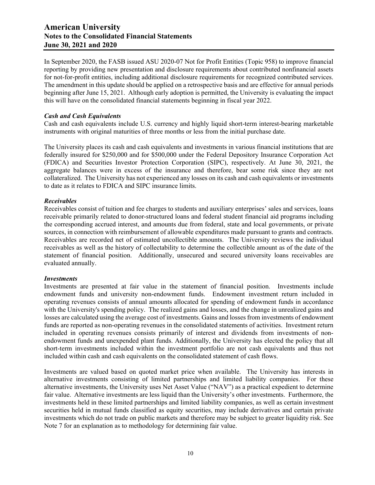In September 2020, the FASB issued ASU 2020-07 Not for Profit Entities (Topic 958) to improve financial reporting by providing new presentation and disclosure requirements about contributed nonfinancial assets for not-for-profit entities, including additional disclosure requirements for recognized contributed services. The amendment in this update should be applied on a retrospective basis and are effective for annual periods beginning after June 15, 2021. Although early adoption is permitted, the University is evaluating the impact this will have on the consolidated financial statements beginning in fiscal year 2022.

#### *Cash and Cash Equivalents*

Cash and cash equivalents include U.S. currency and highly liquid short-term interest-bearing marketable instruments with original maturities of three months or less from the initial purchase date.

The University places its cash and cash equivalents and investments in various financial institutions that are federally insured for \$250,000 and for \$500,000 under the Federal Depository Insurance Corporation Act (FDICA) and Securities Investor Protection Corporation (SIPC), respectively. At June 30, 2021, the aggregate balances were in excess of the insurance and therefore, bear some risk since they are not collateralized. The University has not experienced any losses on its cash and cash equivalents or investments to date as it relates to FDICA and SIPC insurance limits.

#### *Receivables*

Receivables consist of tuition and fee charges to students and auxiliary enterprises' sales and services, loans receivable primarily related to donor-structured loans and federal student financial aid programs including the corresponding accrued interest, and amounts due from federal, state and local governments, or private sources, in connection with reimbursement of allowable expenditures made pursuant to grants and contracts. Receivables are recorded net of estimated uncollectible amounts. The University reviews the individual receivables as well as the history of collectability to determine the collectible amount as of the date of the statement of financial position. Additionally, unsecured and secured university loans receivables are evaluated annually.

#### *Investments*

Investments are presented at fair value in the statement of financial position. Investments include endowment funds and university non-endowment funds. Endowment investment return included in operating revenues consists of annual amounts allocated for spending of endowment funds in accordance with the University's spending policy. The realized gains and losses, and the change in unrealized gains and losses are calculated using the average cost of investments. Gains and losses from investments of endowment funds are reported as non-operating revenues in the consolidated statements of activities. Investment return included in operating revenues consists primarily of interest and dividends from investments of nonendowment funds and unexpended plant funds. Additionally, the University has elected the policy that all short-term investments included within the investment portfolio are not cash equivalents and thus not included within cash and cash equivalents on the consolidated statement of cash flows.

Investments are valued based on quoted market price when available. The University has interests in alternative investments consisting of limited partnerships and limited liability companies. For these alternative investments, the University uses Net Asset Value ("NAV") as a practical expedient to determine fair value. Alternative investments are less liquid than the University's other investments. Furthermore, the investments held in these limited partnerships and limited liability companies, as well as certain investment securities held in mutual funds classified as equity securities, may include derivatives and certain private investments which do not trade on public markets and therefore may be subject to greater liquidity risk. See Note 7 for an explanation as to methodology for determining fair value.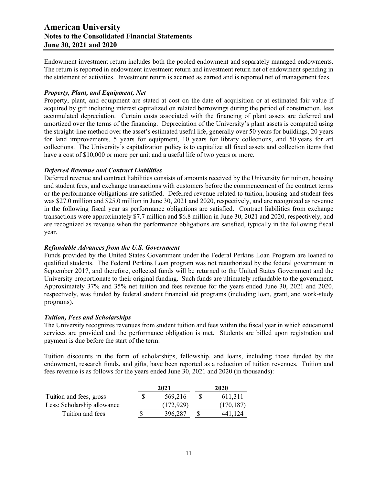Endowment investment return includes both the pooled endowment and separately managed endowments. The return is reported in endowment investment return and investment return net of endowment spending in the statement of activities. Investment return is accrued as earned and is reported net of management fees.

#### *Property, Plant, and Equipment, Net*

Property, plant, and equipment are stated at cost on the date of acquisition or at estimated fair value if acquired by gift including interest capitalized on related borrowings during the period of construction, less accumulated depreciation. Certain costs associated with the financing of plant assets are deferred and amortized over the terms of the financing. Depreciation of the University's plant assets is computed using the straight-line method over the asset's estimated useful life, generally over 50 years for buildings, 20 years for land improvements, 5 years for equipment, 10 years for library collections, and 50 years for art collections. The University's capitalization policy is to capitalize all fixed assets and collection items that have a cost of \$10,000 or more per unit and a useful life of two years or more.

## *Deferred Revenue and Contract Liabilities*

Deferred revenue and contract liabilities consists of amounts received by the University for tuition, housing and student fees, and exchange transactions with customers before the commencement of the contract terms or the performance obligations are satisfied. Deferred revenue related to tuition, housing and student fees was \$27.0 million and \$25.0 million in June 30, 2021 and 2020, respectively, and are recognized as revenue in the following fiscal year as performance obligations are satisfied. Contract liabilities from exchange transactions were approximately \$7.7 million and \$6.8 million in June 30, 2021 and 2020, respectively, and are recognized as revenue when the performance obligations are satisfied, typically in the following fiscal year.

## *Refundable Advances from the U.S. Government*

Funds provided by the United States Government under the Federal Perkins Loan Program are loaned to qualified students. The Federal Perkins Loan program was not reauthorized by the federal government in September 2017, and therefore, collected funds will be returned to the United States Government and the University proportionate to their original funding. Such funds are ultimately refundable to the government. Approximately 37% and 35% net tuition and fees revenue for the years ended June 30, 2021 and 2020, respectively, was funded by federal student financial aid programs (including loan, grant, and work-study programs).

#### *Tuition, Fees and Scholarships*

The University recognizes revenues from student tuition and fees within the fiscal year in which educational services are provided and the performance obligation is met. Students are billed upon registration and payment is due before the start of the term.

Tuition discounts in the form of scholarships, fellowship, and loans, including those funded by the endowment, research funds, and gifts, have been reported as a reduction of tuition revenues. Tuition and fees revenue is as follows for the years ended June 30, 2021 and 2020 (in thousands):

|                             | 2021       |    | 2020       |
|-----------------------------|------------|----|------------|
| Tuition and fees, gross     | 569,216    | -S | 611,311    |
| Less: Scholarship allowance | (172, 929) |    | (170, 187) |
| Tuition and fees            | 396.287    |    | 441.124    |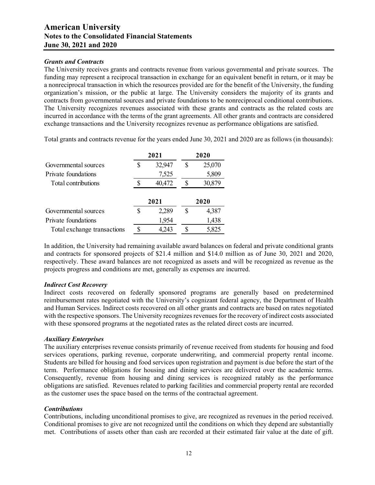#### *Grants and Contracts*

The University receives grants and contracts revenue from various governmental and private sources. The funding may represent a reciprocal transaction in exchange for an equivalent benefit in return, or it may be a nonreciprocal transaction in which the resources provided are for the benefit of the University, the funding organization's mission, or the public at large. The University considers the majority of its grants and contracts from governmental sources and private foundations to be nonreciprocal conditional contributions. The University recognizes revenues associated with these grants and contracts as the related costs are incurred in accordance with the terms of the grant agreements. All other grants and contracts are considered exchange transactions and the University recognizes revenue as performance obligations are satisfied.

Total grants and contracts revenue for the years ended June 30, 2021 and 2020 are as follows (in thousands):

|                      |   | 2021   | 2020 |        |  |  |
|----------------------|---|--------|------|--------|--|--|
| Governmental sources | S | 32,947 | S    | 25,070 |  |  |
| Private foundations  |   | 7,525  |      | 5,809  |  |  |
| Total contributions  |   | 40,472 |      | 30,879 |  |  |
|                      |   | 2021   |      | 2020   |  |  |
|                      |   |        |      |        |  |  |
| Governmental sources |   | 2,289  | S    | 4,387  |  |  |
| Private foundations  |   | 1,954  |      | 1,438  |  |  |

In addition, the University had remaining available award balances on federal and private conditional grants and contracts for sponsored projects of \$21.4 million and \$14.0 million as of June 30, 2021 and 2020, respectively. These award balances are not recognized as assets and will be recognized as revenue as the projects progress and conditions are met, generally as expenses are incurred.

#### *Indirect Cost Recovery*

Indirect costs recovered on federally sponsored programs are generally based on predetermined reimbursement rates negotiated with the University's cognizant federal agency, the Department of Health and Human Services. Indirect costs recovered on all other grants and contracts are based on rates negotiated with the respective sponsors. The University recognizes revenues for the recovery of indirect costs associated with these sponsored programs at the negotiated rates as the related direct costs are incurred.

#### *Auxiliary Enterprises*

The auxiliary enterprises revenue consists primarily of revenue received from students for housing and food services operations, parking revenue, corporate underwriting, and commercial property rental income. Students are billed for housing and food services upon registration and payment is due before the start of the term. Performance obligations for housing and dining services are delivered over the academic terms. Consequently, revenue from housing and dining services is recognized ratably as the performance obligations are satisfied. Revenues related to parking facilities and commercial property rental are recorded as the customer uses the space based on the terms of the contractual agreement.

#### *Contributions*

Contributions, including unconditional promises to give, are recognized as revenues in the period received. Conditional promises to give are not recognized until the conditions on which they depend are substantially met. Contributions of assets other than cash are recorded at their estimated fair value at the date of gift.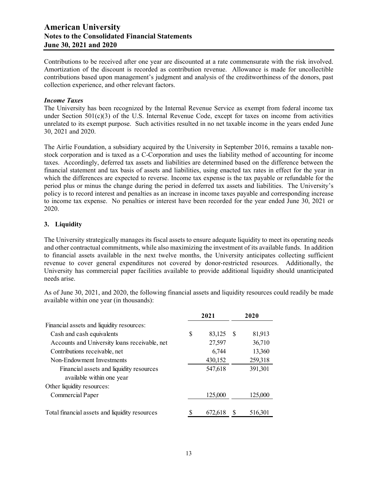Contributions to be received after one year are discounted at a rate commensurate with the risk involved. Amortization of the discount is recorded as contribution revenue. Allowance is made for uncollectible contributions based upon management's judgment and analysis of the creditworthiness of the donors, past collection experience, and other relevant factors.

#### *Income Taxes*

The University has been recognized by the Internal Revenue Service as exempt from federal income tax under Section  $501(c)(3)$  of the U.S. Internal Revenue Code, except for taxes on income from activities unrelated to its exempt purpose. Such activities resulted in no net taxable income in the years ended June 30, 2021 and 2020.

The Airlie Foundation, a subsidiary acquired by the University in September 2016, remains a taxable nonstock corporation and is taxed as a C-Corporation and uses the liability method of accounting for income taxes. Accordingly, deferred tax assets and liabilities are determined based on the difference between the financial statement and tax basis of assets and liabilities, using enacted tax rates in effect for the year in which the differences are expected to reverse. Income tax expense is the tax payable or refundable for the period plus or minus the change during the period in deferred tax assets and liabilities. The University's policy is to record interest and penalties as an increase in income taxes payable and corresponding increase to income tax expense. No penalties or interest have been recorded for the year ended June 30, 2021 or 2020.

## **3. Liquidity**

The University strategically manages its fiscal assets to ensure adequate liquidity to meet its operating needs and other contractual commitments, while also maximizing the investment of its available funds. In addition to financial assets available in the next twelve months, the University anticipates collecting sufficient revenue to cover general expenditures not covered by donor-restricted resources. Additionally, the University has commercial paper facilities available to provide additional liquidity should unanticipated needs arise.

As of June 30, 2021, and 2020, the following financial assets and liquidity resources could readily be made available within one year (in thousands):

|                                                | 2021          |    | 2020    |
|------------------------------------------------|---------------|----|---------|
| Financial assets and liquidity resources:      |               |    |         |
| Cash and cash equivalents                      | \$<br>83,125  | -S | 81,913  |
| Accounts and University loans receivable, net  | 27,597        |    | 36,710  |
| Contributions receivable, net                  | 6,744         |    | 13,360  |
| Non-Endowment Investments                      | 430,152       |    | 259,318 |
| Financial assets and liquidity resources       | 547,618       |    | 391,301 |
| available within one year                      |               |    |         |
| Other liquidity resources:                     |               |    |         |
| Commercial Paper                               | 125,000       |    | 125,000 |
|                                                |               |    |         |
| Total financial assets and liquidity resources | \$<br>672.618 | S  | 516.301 |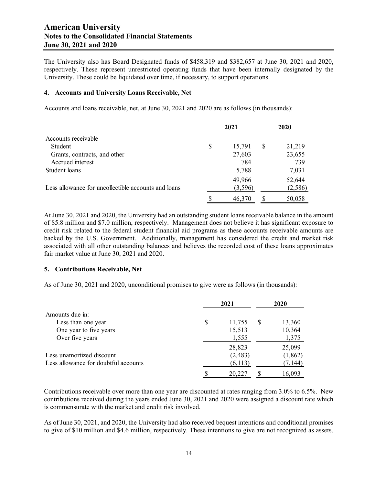The University also has Board Designated funds of \$458,319 and \$382,657 at June 30, 2021 and 2020, respectively. These represent unrestricted operating funds that have been internally designated by the University. These could be liquidated over time, if necessary, to support operations.

#### **4. Accounts and University Loans Receivable, Net**

Accounts and loans receivable, net, at June 30, 2021 and 2020 are as follows (in thousands):

|                                                     | 2021         |   | 2020    |
|-----------------------------------------------------|--------------|---|---------|
| Accounts receivable                                 |              |   |         |
| Student                                             | \$<br>15,791 | S | 21,219  |
| Grants, contracts, and other                        | 27,603       |   | 23,655  |
| Accrued interest                                    | 784          |   | 739     |
| Student loans                                       | 5,788        |   | 7,031   |
|                                                     | 49,966       |   | 52,644  |
| Less allowance for uncollectible accounts and loans | (3,596)      |   | (2,586) |
|                                                     | 46,370       |   | 50,058  |

At June 30, 2021 and 2020, the University had an outstanding student loans receivable balance in the amount of \$5.8 million and \$7.0 million, respectively. Management does not believe it has significant exposure to credit risk related to the federal student financial aid programs as these accounts receivable amounts are backed by the U.S. Government. Additionally, management has considered the credit and market risk associated with all other outstanding balances and believes the recorded cost of these loans approximates fair market value at June 30, 2021 and 2020.

#### **5. Contributions Receivable, Net**

As of June 30, 2021 and 2020, unconditional promises to give were as follows (in thousands):

|                                      |    | 2021     | 2020 |          |  |
|--------------------------------------|----|----------|------|----------|--|
| Amounts due in:                      |    |          |      |          |  |
| Less than one year                   | \$ | 11,755   | S    | 13,360   |  |
| One year to five years               |    | 15,513   |      | 10,364   |  |
| Over five years                      |    | 1,555    |      | 1,375    |  |
|                                      |    | 28,823   |      | 25,099   |  |
| Less unamortized discount            |    | (2, 483) |      | (1,862)  |  |
| Less allowance for doubtful accounts |    | (6, 113) |      | (7, 144) |  |
|                                      | S  | 20,227   |      | 16,093   |  |

Contributions receivable over more than one year are discounted at rates ranging from 3.0% to 6.5%. New contributions received during the years ended June 30, 2021 and 2020 were assigned a discount rate which is commensurate with the market and credit risk involved.

As of June 30, 2021, and 2020, the University had also received bequest intentions and conditional promises to give of \$10 million and \$4.6 million, respectively. These intentions to give are not recognized as assets.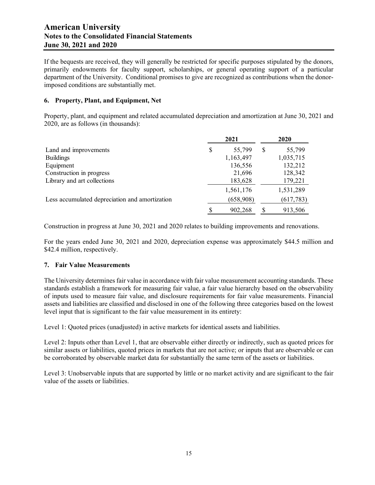If the bequests are received, they will generally be restricted for specific purposes stipulated by the donors, primarily endowments for faculty support, scholarships, or general operating support of a particular department of the University. Conditional promises to give are recognized as contributions when the donorimposed conditions are substantially met.

#### **6. Property, Plant, and Equipment, Net**

Property, plant, and equipment and related accumulated depreciation and amortization at June 30, 2021 and 2020, are as follows (in thousands):

|                                                |   | 2021      |    | 2020      |
|------------------------------------------------|---|-----------|----|-----------|
| Land and improvements                          | S | 55,799    | S  | 55,799    |
| <b>Buildings</b>                               |   | 1,163,497 |    | 1,035,715 |
| Equipment                                      |   | 136,556   |    | 132,212   |
| Construction in progress                       |   | 21,696    |    | 128,342   |
| Library and art collections                    |   | 183,628   |    | 179,221   |
|                                                |   | 1,561,176 |    | 1,531,289 |
| Less accumulated depreciation and amortization |   | (658,908) |    | (617,783) |
|                                                |   | 902.268   | \$ | 913,506   |

Construction in progress at June 30, 2021 and 2020 relates to building improvements and renovations.

For the years ended June 30, 2021 and 2020, depreciation expense was approximately \$44.5 million and \$42.4 million, respectively.

#### **7. Fair Value Measurements**

The University determines fair value in accordance with fair value measurement accounting standards. These standards establish a framework for measuring fair value, a fair value hierarchy based on the observability of inputs used to measure fair value, and disclosure requirements for fair value measurements. Financial assets and liabilities are classified and disclosed in one of the following three categories based on the lowest level input that is significant to the fair value measurement in its entirety:

Level 1: Quoted prices (unadjusted) in active markets for identical assets and liabilities.

Level 2: Inputs other than Level 1, that are observable either directly or indirectly, such as quoted prices for similar assets or liabilities, quoted prices in markets that are not active; or inputs that are observable or can be corroborated by observable market data for substantially the same term of the assets or liabilities.

Level 3: Unobservable inputs that are supported by little or no market activity and are significant to the fair value of the assets or liabilities.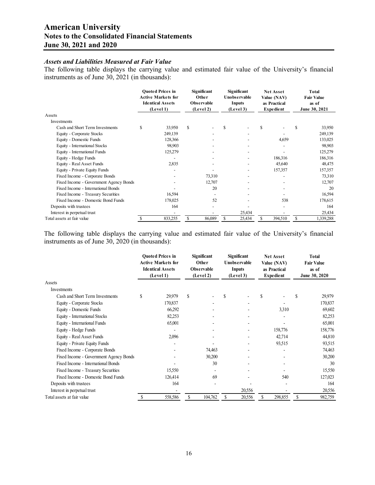## *Assets and Liabilities Measured at Fair Value*

The following table displays the carrying value and estimated fair value of the University's financial instruments as of June 30, 2021 (in thousands):

|                                        |    | <b>Ouoted Prices in</b><br><b>Active Markets for</b><br><b>Identical Assets</b><br>(Level 1) | Significant<br>Other<br>Observable<br>(Level 2) |        | Significant<br>Unobservable<br>Inputs<br>(Level 3) |                              | <b>Net Asset</b><br>Value (NAV)<br>as Practical<br><b>Expedient</b> |         | <b>Total</b><br><b>Fair Value</b><br>as of<br>June 30, 2021 |           |
|----------------------------------------|----|----------------------------------------------------------------------------------------------|-------------------------------------------------|--------|----------------------------------------------------|------------------------------|---------------------------------------------------------------------|---------|-------------------------------------------------------------|-----------|
| Assets                                 |    |                                                                                              |                                                 |        |                                                    |                              |                                                                     |         |                                                             |           |
| Investments                            |    |                                                                                              |                                                 |        |                                                    |                              |                                                                     |         |                                                             |           |
| Cash and Short Term Investments        | \$ | 33,950                                                                                       | \$                                              |        | S                                                  | $\overline{\phantom{a}}$     | S                                                                   |         | S                                                           | 33,950    |
| Equity - Corporate Stocks              |    | 249,139                                                                                      |                                                 |        |                                                    |                              |                                                                     |         |                                                             | 249,139   |
| Equity - Domestic Funds                |    | 128,366                                                                                      |                                                 |        |                                                    |                              |                                                                     | 4,659   |                                                             | 133,025   |
| Equity - International Stocks          |    | 98,903                                                                                       |                                                 |        |                                                    | $\overline{\phantom{a}}$     |                                                                     |         |                                                             | 98,903    |
| Equity - International Funds           |    | 125,279                                                                                      |                                                 |        |                                                    |                              |                                                                     |         |                                                             | 125,279   |
| Equity - Hedge Funds                   |    |                                                                                              |                                                 |        |                                                    |                              |                                                                     | 186,316 |                                                             | 186,316   |
| Equity - Real Asset Funds              |    | 2,835                                                                                        |                                                 |        |                                                    |                              |                                                                     | 45,640  |                                                             | 48,475    |
| Equity - Private Equity Funds          |    |                                                                                              |                                                 |        |                                                    | $\overline{\phantom{a}}$     |                                                                     | 157,357 |                                                             | 157,357   |
| Fixed Income - Corporate Bonds         |    |                                                                                              |                                                 | 73,310 |                                                    | $\qquad \qquad \blacksquare$ |                                                                     |         |                                                             | 73,310    |
| Fixed Income - Government Agency Bonds |    |                                                                                              |                                                 | 12,707 |                                                    |                              |                                                                     |         |                                                             | 12,707    |
| Fixed Income - International Bonds     |    |                                                                                              |                                                 | 20     |                                                    | $\overline{\phantom{a}}$     |                                                                     |         |                                                             | 20        |
| Fixed Income - Treasury Securities     |    | 16,594                                                                                       |                                                 |        |                                                    |                              |                                                                     |         |                                                             | 16,594    |
| Fixed Income - Domestic Bond Funds     |    | 178,025                                                                                      |                                                 | 52     |                                                    |                              |                                                                     | 538     |                                                             | 178,615   |
| Deposits with trustees                 |    | 164                                                                                          |                                                 |        |                                                    |                              |                                                                     |         |                                                             | 164       |
| Interest in perpetual trust            |    |                                                                                              |                                                 |        |                                                    | 25,434                       |                                                                     |         |                                                             | 25,434    |
| Total assets at fair value             | S  | 833,255                                                                                      | \$                                              | 86,089 | S                                                  | 25,434                       | \$                                                                  | 394,510 | S                                                           | 1,339,288 |

The following table displays the carrying value and estimated fair value of the University's financial instruments as of June 30, 2020 (in thousands):

|                                        |   | <b>Ouoted Prices in</b><br><b>Active Markets for</b><br><b>Identical Assets</b><br>(Level 1) | Significant<br>Other<br>Observable<br>(Level 2) | Significant<br>Unobservable<br><b>Inputs</b><br>(Level 3) |                          | <b>Net Asset</b><br>Value (NAV)<br>as Practical<br><b>Expedient</b> |         |   |         | Total<br>as of |  | <b>Fair Value</b><br>June 30, 2020 |
|----------------------------------------|---|----------------------------------------------------------------------------------------------|-------------------------------------------------|-----------------------------------------------------------|--------------------------|---------------------------------------------------------------------|---------|---|---------|----------------|--|------------------------------------|
| Assets                                 |   |                                                                                              |                                                 |                                                           |                          |                                                                     |         |   |         |                |  |                                    |
| Investments                            |   |                                                                                              |                                                 |                                                           |                          |                                                                     |         |   |         |                |  |                                    |
| Cash and Short Term Investments        | S | 29,979                                                                                       | \$                                              | S                                                         |                          | S                                                                   |         | S | 29,979  |                |  |                                    |
| Equity - Corporate Stocks              |   | 170,837                                                                                      |                                                 |                                                           |                          |                                                                     |         |   | 170,837 |                |  |                                    |
| Equity - Domestic Funds                |   | 66,292                                                                                       |                                                 |                                                           |                          |                                                                     | 3,310   |   | 69,602  |                |  |                                    |
| Equity - International Stocks          |   | 82,253                                                                                       |                                                 |                                                           | $\overline{\phantom{a}}$ |                                                                     |         |   | 82,253  |                |  |                                    |
| Equity - International Funds           |   | 65,001                                                                                       |                                                 |                                                           |                          |                                                                     |         |   | 65,001  |                |  |                                    |
| Equity - Hedge Funds                   |   |                                                                                              |                                                 |                                                           |                          |                                                                     | 158,776 |   | 158,776 |                |  |                                    |
| Equity - Real Asset Funds              |   | 2,096                                                                                        |                                                 |                                                           |                          |                                                                     | 42,714  |   | 44,810  |                |  |                                    |
| Equity - Private Equity Funds          |   |                                                                                              |                                                 |                                                           |                          |                                                                     | 93,515  |   | 93,515  |                |  |                                    |
| Fixed Income - Corporate Bonds         |   |                                                                                              | 74,463                                          |                                                           |                          |                                                                     |         |   | 74,463  |                |  |                                    |
| Fixed Income - Government Agency Bonds |   |                                                                                              | 30,200                                          |                                                           |                          |                                                                     |         |   | 30,200  |                |  |                                    |
| Fixed Income - International Bonds     |   |                                                                                              | 30                                              |                                                           |                          |                                                                     |         |   | 30      |                |  |                                    |
| Fixed Income - Treasury Securities     |   | 15,550                                                                                       |                                                 |                                                           |                          |                                                                     |         |   | 15,550  |                |  |                                    |
| Fixed Income - Domestic Bond Funds     |   | 126,414                                                                                      | 69                                              |                                                           |                          |                                                                     | 540     |   | 127,023 |                |  |                                    |
| Deposits with trustees                 |   | 164                                                                                          |                                                 |                                                           |                          |                                                                     |         |   | 164     |                |  |                                    |
| Interest in perpetual trust            |   |                                                                                              |                                                 |                                                           | 20,556                   |                                                                     |         |   | 20,556  |                |  |                                    |
| Total assets at fair value             | S | 558,586                                                                                      | \$<br>104,762                                   | S                                                         | 20,556                   | \$                                                                  | 298,855 | S | 982,759 |                |  |                                    |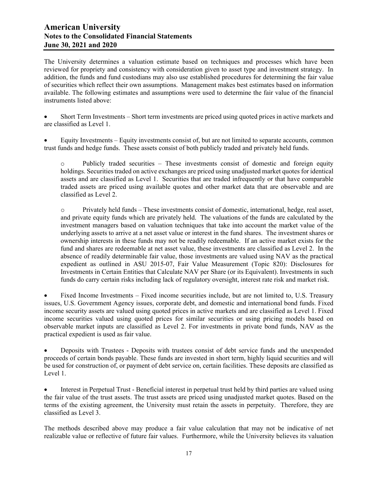The University determines a valuation estimate based on techniques and processes which have been reviewed for propriety and consistency with consideration given to asset type and investment strategy. In addition, the funds and fund custodians may also use established procedures for determining the fair value of securities which reflect their own assumptions. Management makes best estimates based on information available. The following estimates and assumptions were used to determine the fair value of the financial instruments listed above:

 Short Term Investments – Short term investments are priced using quoted prices in active markets and are classified as Level 1.

 Equity Investments – Equity investments consist of, but are not limited to separate accounts, common trust funds and hedge funds. These assets consist of both publicly traded and privately held funds.

o Publicly traded securities – These investments consist of domestic and foreign equity holdings. Securities traded on active exchanges are priced using unadjusted market quotes for identical assets and are classified as Level 1. Securities that are traded infrequently or that have comparable traded assets are priced using available quotes and other market data that are observable and are classified as Level 2.

 $\circ$  Privately held funds – These investments consist of domestic, international, hedge, real asset, and private equity funds which are privately held. The valuations of the funds are calculated by the investment managers based on valuation techniques that take into account the market value of the underlying assets to arrive at a net asset value or interest in the fund shares. The investment shares or ownership interests in these funds may not be readily redeemable. If an active market exists for the fund and shares are redeemable at net asset value, these investments are classified as Level 2. In the absence of readily determinable fair value, those investments are valued using NAV as the practical expedient as outlined in ASU 2015-07, Fair Value Measurement (Topic 820): Disclosures for Investments in Certain Entities that Calculate NAV per Share (or its Equivalent). Investments in such funds do carry certain risks including lack of regulatory oversight, interest rate risk and market risk.

 Fixed Income Investments – Fixed income securities include, but are not limited to, U.S. Treasury issues, U.S. Government Agency issues, corporate debt, and domestic and international bond funds. Fixed income security assets are valued using quoted prices in active markets and are classified as Level 1. Fixed income securities valued using quoted prices for similar securities or using pricing models based on observable market inputs are classified as Level 2. For investments in private bond funds, NAV as the practical expedient is used as fair value.

 Deposits with Trustees - Deposits with trustees consist of debt service funds and the unexpended proceeds of certain bonds payable. These funds are invested in short term, highly liquid securities and will be used for construction of, or payment of debt service on, certain facilities. These deposits are classified as Level 1.

 Interest in Perpetual Trust - Beneficial interest in perpetual trust held by third parties are valued using the fair value of the trust assets. The trust assets are priced using unadjusted market quotes. Based on the terms of the existing agreement, the University must retain the assets in perpetuity. Therefore, they are classified as Level 3.

The methods described above may produce a fair value calculation that may not be indicative of net realizable value or reflective of future fair values. Furthermore, while the University believes its valuation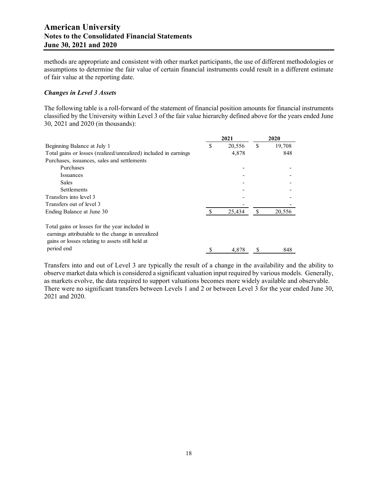methods are appropriate and consistent with other market participants, the use of different methodologies or assumptions to determine the fair value of certain financial instruments could result in a different estimate of fair value at the reporting date.

#### *Changes in Level 3 Assets*

The following table is a roll-forward of the statement of financial position amounts for financial instruments classified by the University within Level 3 of the fair value hierarchy defined above for the years ended June 30, 2021 and 2020 (in thousands):

|                                                                                                                                                         |   | 2021   | 2020          |        |  |
|---------------------------------------------------------------------------------------------------------------------------------------------------------|---|--------|---------------|--------|--|
| Beginning Balance at July 1                                                                                                                             | S | 20,556 | S             | 19,708 |  |
| Total gains or losses (realized/unrealized) included in earnings                                                                                        |   | 4,878  |               | 848    |  |
| Purchases, issuances, sales and settlements                                                                                                             |   |        |               |        |  |
| Purchases                                                                                                                                               |   |        |               |        |  |
| <i>Issuances</i>                                                                                                                                        |   |        |               |        |  |
| <b>Sales</b>                                                                                                                                            |   |        |               |        |  |
| <b>Settlements</b>                                                                                                                                      |   |        |               |        |  |
| Transfers into level 3                                                                                                                                  |   |        |               |        |  |
| Transfers out of level 3                                                                                                                                |   |        |               |        |  |
| Ending Balance at June 30                                                                                                                               |   | 25.434 | <sup>\$</sup> | 20,556 |  |
| Total gains or losses for the year included in<br>earnings attributable to the change in unrealized<br>gains or losses relating to assets still held at |   |        |               |        |  |
| period end                                                                                                                                              |   | 4.878  |               | 848    |  |

Transfers into and out of Level 3 are typically the result of a change in the availability and the ability to observe market data which is considered a significant valuation input required by various models. Generally, as markets evolve, the data required to support valuations becomes more widely available and observable. There were no significant transfers between Levels 1 and 2 or between Level 3 for the year ended June 30, 2021 and 2020.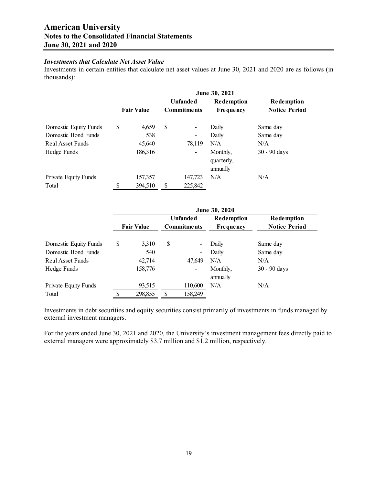## *Investments that Calculate Net Asset Value*

Investments in certain entities that calculate net asset values at June 30, 2021 and 2020 are as follows (in thousands):

|                       | June 30, 2021 |                   |    |                                       |                                       |                                           |  |  |  |  |
|-----------------------|---------------|-------------------|----|---------------------------------------|---------------------------------------|-------------------------------------------|--|--|--|--|
|                       |               | <b>Fair Value</b> |    | <b>Unfunded</b><br><b>Commitments</b> | <b>Redemption</b><br><b>Frequency</b> | <b>Redemption</b><br><b>Notice Period</b> |  |  |  |  |
| Domestic Equity Funds | \$            | 4,659             | \$ | $\overline{\phantom{a}}$              | Daily                                 | Same day                                  |  |  |  |  |
| Domestic Bond Funds   |               | 538               |    | $\overline{\phantom{a}}$              | Daily                                 | Same day                                  |  |  |  |  |
| Real Asset Funds      |               | 45,640            |    | 78,119                                | N/A                                   | N/A                                       |  |  |  |  |
| Hedge Funds           |               | 186,316           |    | $\overline{\phantom{a}}$              | Monthly,<br>quarterly,<br>annually    | $30 - 90$ days                            |  |  |  |  |
| Private Equity Funds  |               | 157,357           |    | 147,723                               | N/A                                   | N/A                                       |  |  |  |  |
| Total                 | \$            | 394,510           |    | 225,842                               |                                       |                                           |  |  |  |  |

|                       | June 30, 2020                           |         |                  |                          |                      |                   |  |  |  |  |
|-----------------------|-----------------------------------------|---------|------------------|--------------------------|----------------------|-------------------|--|--|--|--|
|                       |                                         |         | <b>Unfunded</b>  |                          | <b>Redemption</b>    | <b>Redemption</b> |  |  |  |  |
|                       | <b>Fair Value</b><br><b>Commitments</b> |         | <b>Frequency</b> | <b>Notice Period</b>     |                      |                   |  |  |  |  |
| Domestic Equity Funds | \$                                      | 3,310   | \$               |                          | Daily                | Same day          |  |  |  |  |
| Domestic Bond Funds   |                                         | 540     |                  | -                        | Daily                | Same day          |  |  |  |  |
| Real Asset Funds      |                                         | 42,714  |                  | 47,649                   | N/A                  | N/A               |  |  |  |  |
| Hedge Funds           |                                         | 158,776 |                  | $\overline{\phantom{a}}$ | Monthly,<br>annually | $30 - 90$ days    |  |  |  |  |
| Private Equity Funds  |                                         | 93,515  |                  | 110,600                  | N/A                  | N/A               |  |  |  |  |
| Total                 | \$                                      | 298,855 |                  | 158,249                  |                      |                   |  |  |  |  |

Investments in debt securities and equity securities consist primarily of investments in funds managed by external investment managers.

For the years ended June 30, 2021 and 2020, the University's investment management fees directly paid to external managers were approximately \$3.7 million and \$1.2 million, respectively.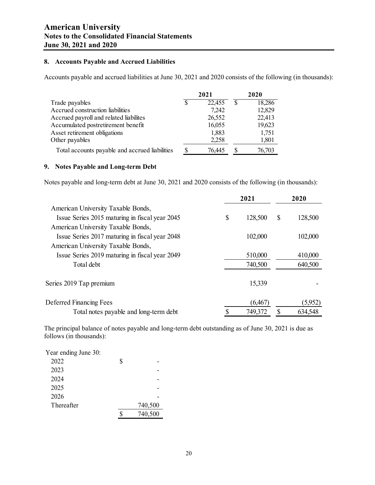## **8. Accounts Payable and Accrued Liabilities**

Accounts payable and accrued liabilities at June 30, 2021 and 2020 consists of the following (in thousands):

|                                                | 2021 |        |    | 2020   |  |
|------------------------------------------------|------|--------|----|--------|--|
| Trade payables                                 | S    | 22,455 | \$ | 18,286 |  |
| Accrued construction liabilities               |      | 7,242  |    | 12,829 |  |
| Accrued payroll and related liabilites         |      | 26,552 |    | 22,413 |  |
| Accumulated postretirement benefit             |      | 16,055 |    | 19,623 |  |
| Asset retirement obligations                   |      | 1,883  |    | 1,751  |  |
| Other payables                                 |      | 2,258  |    | 1,801  |  |
| Total accounts payable and accrued liabilities | S    | 76.445 |    | 76,703 |  |

#### **9. Notes Payable and Long-term Debt**

Notes payable and long-term debt at June 30, 2021 and 2020 consists of the following (in thousands):

|                                                |    | 2021     | 2020 |         |  |
|------------------------------------------------|----|----------|------|---------|--|
| American University Taxable Bonds,             |    |          |      |         |  |
| Issue Series 2015 maturing in fiscal year 2045 | \$ | 128,500  | \$   | 128,500 |  |
| American University Taxable Bonds,             |    |          |      |         |  |
| Issue Series 2017 maturing in fiscal year 2048 |    | 102,000  |      | 102,000 |  |
| American University Taxable Bonds,             |    |          |      |         |  |
| Issue Series 2019 maturing in fiscal year 2049 |    | 510,000  |      | 410,000 |  |
| Total debt                                     |    | 740,500  |      | 640,500 |  |
| Series 2019 Tap premium                        |    | 15,339   |      |         |  |
| Deferred Financing Fees                        |    | (6, 467) |      | (5,952) |  |
| Total notes payable and long-term debt         |    | 749,372  |      | 634,548 |  |

The principal balance of notes payable and long-term debt outstanding as of June 30, 2021 is due as follows (in thousands):

| Year ending June 30: |         |
|----------------------|---------|
| 2022                 | \$      |
| 2023                 |         |
| 2024                 |         |
| 2025                 |         |
| 2026                 |         |
| Thereafter           | 740,500 |
|                      | 740,500 |
|                      |         |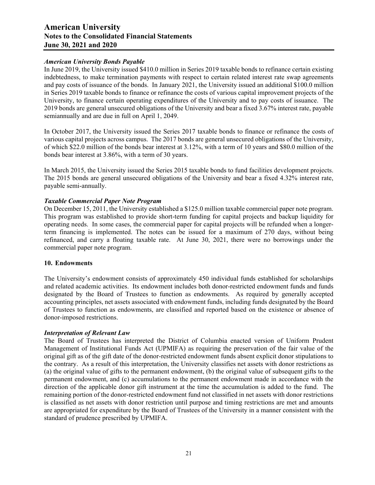#### *American University Bonds Payable*

In June 2019, the University issued \$410.0 million in Series 2019 taxable bonds to refinance certain existing indebtedness, to make termination payments with respect to certain related interest rate swap agreements and pay costs of issuance of the bonds. In January 2021, the University issued an additional \$100.0 million in Series 2019 taxable bonds to finance or refinance the costs of various capital improvement projects of the University, to finance certain operating expenditures of the University and to pay costs of issuance. The 2019 bonds are general unsecured obligations of the University and bear a fixed 3.67% interest rate, payable semiannually and are due in full on April 1, 2049.

In October 2017, the University issued the Series 2017 taxable bonds to finance or refinance the costs of various capital projects across campus. The 2017 bonds are general unsecured obligations of the University, of which \$22.0 million of the bonds bear interest at 3.12%, with a term of 10 years and \$80.0 million of the bonds bear interest at 3.86%, with a term of 30 years.

In March 2015, the University issued the Series 2015 taxable bonds to fund facilities development projects. The 2015 bonds are general unsecured obligations of the University and bear a fixed 4.32% interest rate, payable semi-annually.

#### *Taxable Commercial Paper Note Program*

On December 15, 2011, the University established a \$125.0 million taxable commercial paper note program. This program was established to provide short-term funding for capital projects and backup liquidity for operating needs. In some cases, the commercial paper for capital projects will be refunded when a longerterm financing is implemented. The notes can be issued for a maximum of 270 days, without being refinanced, and carry a floating taxable rate. At June 30, 2021, there were no borrowings under the commercial paper note program.

#### **10. Endowments**

The University's endowment consists of approximately 450 individual funds established for scholarships and related academic activities. Its endowment includes both donor-restricted endowment funds and funds designated by the Board of Trustees to function as endowments. As required by generally accepted accounting principles, net assets associated with endowment funds, including funds designated by the Board of Trustees to function as endowments, are classified and reported based on the existence or absence of donor-imposed restrictions.

#### *Interpretation of Relevant Law*

The Board of Trustees has interpreted the District of Columbia enacted version of Uniform Prudent Management of Institutional Funds Act (UPMIFA) as requiring the preservation of the fair value of the original gift as of the gift date of the donor-restricted endowment funds absent explicit donor stipulations to the contrary. As a result of this interpretation, the University classifies net assets with donor restrictions as (a) the original value of gifts to the permanent endowment, (b) the original value of subsequent gifts to the permanent endowment, and (c) accumulations to the permanent endowment made in accordance with the direction of the applicable donor gift instrument at the time the accumulation is added to the fund. The remaining portion of the donor-restricted endowment fund not classified in net assets with donor restrictions is classified as net assets with donor restriction until purpose and timing restrictions are met and amounts are appropriated for expenditure by the Board of Trustees of the University in a manner consistent with the standard of prudence prescribed by UPMIFA.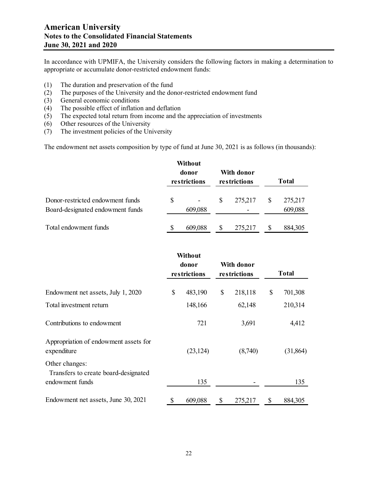In accordance with UPMIFA, the University considers the following factors in making a determination to appropriate or accumulate donor-restricted endowment funds:

- (1) The duration and preservation of the fund
- (2) The purposes of the University and the donor-restricted endowment fund
- (3) General economic conditions
- (4) The possible effect of inflation and deflation
- (5) The expected total return from income and the appreciation of investments
- (6) Other resources of the University
- (7) The investment policies of the University

The endowment net assets composition by type of fund at June 30, 2021 is as follows (in thousands):

|                                                                      |    | Without<br>donor<br>restrictions |   | With donor<br>restrictions | <b>Total</b> |                    |  |
|----------------------------------------------------------------------|----|----------------------------------|---|----------------------------|--------------|--------------------|--|
| Donor-restricted endowment funds<br>Board-designated endowment funds | \$ | 609,088                          | S | 275,217                    | \$           | 275,217<br>609,088 |  |
| Total endowment funds                                                | \$ | 609,088                          | S | 275,217                    | S            | 884,305            |  |

|                                                                           |    | Without<br>donor<br>restrictions |    | With donor<br>restrictions |    | <b>Total</b> |  |
|---------------------------------------------------------------------------|----|----------------------------------|----|----------------------------|----|--------------|--|
| Endowment net assets, July 1, 2020                                        | \$ | 483,190                          | \$ | 218,118                    | \$ | 701,308      |  |
| Total investment return                                                   |    | 148,166                          |    | 62,148                     |    | 210,314      |  |
| Contributions to endowment                                                |    | 721                              |    | 3,691                      |    | 4,412        |  |
| Appropriation of endowment assets for<br>expenditure                      |    | (23, 124)                        |    | (8,740)                    |    | (31, 864)    |  |
| Other changes:<br>Transfers to create board-designated<br>endowment funds |    | 135                              |    |                            |    | 135          |  |
| Endowment net assets, June 30, 2021                                       | \$ | 609,088                          | \$ | 275,217                    | \$ | 884,305      |  |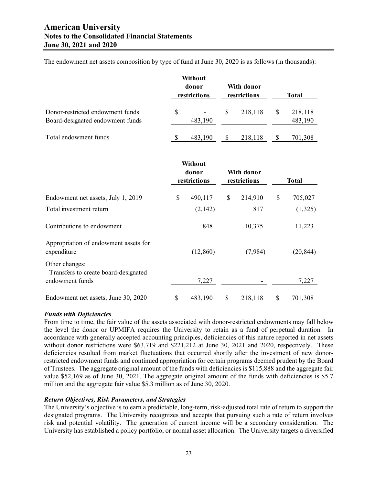The endowment net assets composition by type of fund at June 30, 2020 is as follows (in thousands):

|                                                                      |    | Without<br>donor<br>restrictions |   | With donor<br>restrictions | Total |                    |  |
|----------------------------------------------------------------------|----|----------------------------------|---|----------------------------|-------|--------------------|--|
| Donor-restricted endowment funds<br>Board-designated endowment funds | \$ | 483,190                          | S | 218,118                    | \$    | 218,118<br>483,190 |  |
| Total endowment funds                                                | S  | 483,190                          | S | 218,118                    | S     | 701,308            |  |

|                                                                           |    | Without<br>donor<br>restrictions |    | With donor<br>restrictions |    | <b>Total</b> |  |
|---------------------------------------------------------------------------|----|----------------------------------|----|----------------------------|----|--------------|--|
| Endowment net assets, July 1, 2019                                        | \$ | 490,117                          | \$ | 214,910                    | \$ | 705,027      |  |
| Total investment return                                                   |    | (2,142)                          |    | 817                        |    | (1,325)      |  |
| Contributions to endowment                                                |    | 848                              |    | 10,375                     |    | 11,223       |  |
| Appropriation of endowment assets for<br>expenditure                      |    | (12, 860)                        |    | (7,984)                    |    | (20, 844)    |  |
| Other changes:<br>Transfers to create board-designated<br>endowment funds |    | 7,227                            |    |                            |    | 7,227        |  |
| Endowment net assets, June 30, 2020                                       | \$ | 483,190                          | \$ | 218,118                    | \$ | 701,308      |  |

#### *Funds with Deficiencies*

From time to time, the fair value of the assets associated with donor-restricted endowments may fall below the level the donor or UPMIFA requires the University to retain as a fund of perpetual duration. In accordance with generally accepted accounting principles, deficiencies of this nature reported in net assets without donor restrictions were \$63,719 and \$221,212 at June 30, 2021 and 2020, respectively. These deficiencies resulted from market fluctuations that occurred shortly after the investment of new donorrestricted endowment funds and continued appropriation for certain programs deemed prudent by the Board of Trustees. The aggregate original amount of the funds with deficiencies is \$115,888 and the aggregate fair value \$52,169 as of June 30, 2021. The aggregate original amount of the funds with deficiencies is \$5.7 million and the aggregate fair value \$5.3 million as of June 30, 2020.

## *Return Objectives, Risk Parameters, and Strategies*

The University's objective is to earn a predictable, long-term, risk-adjusted total rate of return to support the designated programs. The University recognizes and accepts that pursuing such a rate of return involves risk and potential volatility. The generation of current income will be a secondary consideration. The University has established a policy portfolio, or normal asset allocation. The University targets a diversified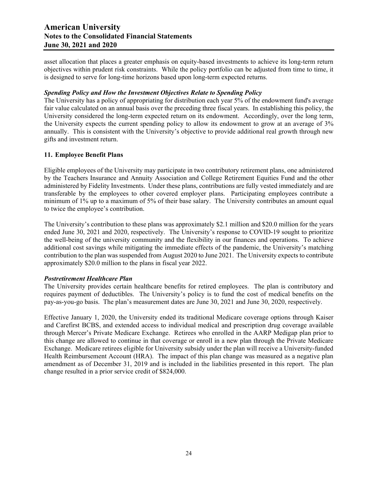asset allocation that places a greater emphasis on equity-based investments to achieve its long-term return objectives within prudent risk constraints. While the policy portfolio can be adjusted from time to time, it is designed to serve for long-time horizons based upon long-term expected returns.

## *Spending Policy and How the Investment Objectives Relate to Spending Policy*

The University has a policy of appropriating for distribution each year 5% of the endowment fund's average fair value calculated on an annual basis over the preceding three fiscal years. In establishing this policy, the University considered the long-term expected return on its endowment. Accordingly, over the long term, the University expects the current spending policy to allow its endowment to grow at an average of 3% annually. This is consistent with the University's objective to provide additional real growth through new gifts and investment return.

#### **11. Employee Benefit Plans**

Eligible employees of the University may participate in two contributory retirement plans, one administered by the Teachers Insurance and Annuity Association and College Retirement Equities Fund and the other administered by Fidelity Investments. Under these plans, contributions are fully vested immediately and are transferable by the employees to other covered employer plans. Participating employees contribute a minimum of 1% up to a maximum of 5% of their base salary. The University contributes an amount equal to twice the employee's contribution.

The University's contribution to these plans was approximately \$2.1 million and \$20.0 million for the years ended June 30, 2021 and 2020, respectively. The University's response to COVID-19 sought to prioritize the well-being of the university community and the flexibility in our finances and operations. To achieve additional cost savings while mitigating the immediate effects of the pandemic, the University's matching contribution to the plan was suspended from August 2020 to June 2021. The University expects to contribute approximately \$20.0 million to the plans in fiscal year 2022.

#### *Postretirement Healthcare Plan*

The University provides certain healthcare benefits for retired employees. The plan is contributory and requires payment of deductibles. The University's policy is to fund the cost of medical benefits on the pay-as-you-go basis. The plan's measurement dates are June 30, 2021 and June 30, 2020, respectively.

Effective January 1, 2020, the University ended its traditional Medicare coverage options through Kaiser and Carefirst BCBS, and extended access to individual medical and prescription drug coverage available through Mercer's Private Medicare Exchange. Retirees who enrolled in the AARP Medigap plan prior to this change are allowed to continue in that coverage or enroll in a new plan through the Private Medicare Exchange. Medicare retirees eligible for University subsidy under the plan will receive a University-funded Health Reimbursement Account (HRA). The impact of this plan change was measured as a negative plan amendment as of December 31, 2019 and is included in the liabilities presented in this report. The plan change resulted in a prior service credit of \$824,000.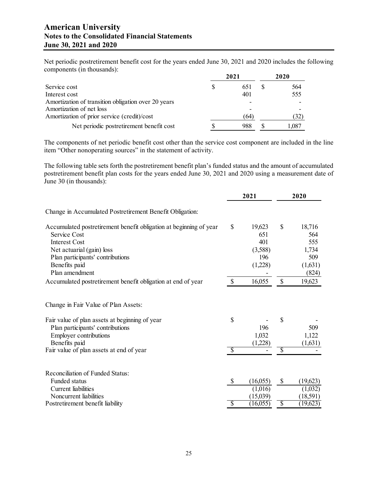Net periodic postretirement benefit cost for the years ended June 30, 2021 and 2020 includes the following components (in thousands):

| Service cost                                        |   | 2021 | 2020 |      |  |
|-----------------------------------------------------|---|------|------|------|--|
|                                                     | S | 651  |      | 564  |  |
| Interest cost                                       |   | 401  |      | 555  |  |
| Amortization of transition obligation over 20 years |   |      |      |      |  |
| Amortization of net loss                            |   |      |      |      |  |
| Amortization of prior service (credit)/cost         |   | (64) |      | 32)  |  |
| Net periodic postretirement benefit cost            |   | 988  |      | .087 |  |

The components of net periodic benefit cost other than the service cost component are included in the line item "Other nonoperating sources" in the statement of activity.

The following table sets forth the postretirement benefit plan's funded status and the amount of accumulated postretirement benefit plan costs for the years ended June 30, 2021 and 2020 using a measurement date of June 30 (in thousands):

|                                                                                                                                                                                                                          |                                | 2021                                                     | 2020                |                                                          |
|--------------------------------------------------------------------------------------------------------------------------------------------------------------------------------------------------------------------------|--------------------------------|----------------------------------------------------------|---------------------|----------------------------------------------------------|
| Change in Accumulated Postretirement Benefit Obligation:                                                                                                                                                                 |                                |                                                          |                     |                                                          |
| Accumulated postretirement benefit obligation at beginning of year<br>Service Cost<br><b>Interest Cost</b><br>Net actuarial (gain) loss<br>Plan participants' contributions<br>Benefits paid<br>Plan amendment           | \$                             | 19,623<br>651<br>401<br>(3,588)<br>196<br>(1,228)        | $\mathbb{S}$        | 18,716<br>564<br>555<br>1,734<br>509<br>(1,631)<br>(824) |
| Accumulated postretirement benefit obligation at end of year                                                                                                                                                             | $\mathcal{S}$                  | 16,055                                                   | $\mathbb{S}$        | 19,623                                                   |
| Change in Fair Value of Plan Assets:<br>Fair value of plan assets at beginning of year<br>Plan participants' contributions<br><b>Employer contributions</b><br>Benefits paid<br>Fair value of plan assets at end of year | \$<br>$\overline{\mathcal{S}}$ | 196<br>1,032<br>(1,228)                                  | \$<br>\$            | 509<br>1,122<br>(1,631)                                  |
| <b>Reconciliation of Funded Status:</b><br>Funded status<br>Current liabilities<br>Noncurrent liabilities<br>Postretirement benefit liability                                                                            | \$<br>S                        | (16,055)<br>(1,016)<br>(15,039)<br>$(16,05\overline{5})$ | \$<br>$\mathcal{S}$ | (19,623)<br>(1,032)<br>(18,591)<br>(19,623)              |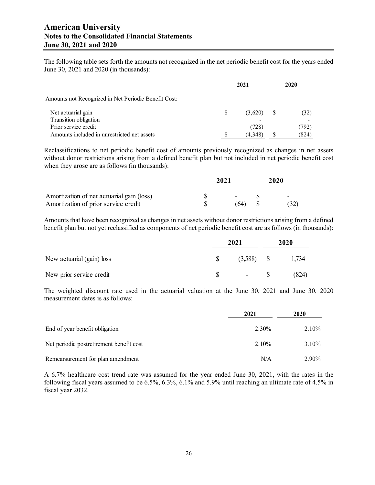The following table sets forth the amounts not recognized in the net periodic benefit cost for the years ended June 30, 2021 and 2020 (in thousands):

|                                                      |   | 2020    |  |       |
|------------------------------------------------------|---|---------|--|-------|
| Amounts not Recognized in Net Periodic Benefit Cost: |   |         |  |       |
| Net actuarial gain                                   | S | (3,620) |  | (32)  |
| Transition obligation                                |   |         |  |       |
| Prior service credit                                 |   | (728)   |  | 792)  |
| Amounts included in unrestricted net assets          |   | (4,348) |  | (824) |

Reclassifications to net periodic benefit cost of amounts previously recognized as changes in net assets without donor restrictions arising from a defined benefit plan but not included in net periodic benefit cost when they arose are as follows (in thousands):

|                                                                                   | 2021 |      |  | 2020      |  |  |
|-----------------------------------------------------------------------------------|------|------|--|-----------|--|--|
| Amortization of net actuarial gain (loss)<br>Amortization of prior service credit |      | (64) |  | -<br>(32) |  |  |

Amounts that have been recognized as changes in net assets without donor restrictions arising from a defined benefit plan but not yet reclassified as components of net periodic benefit cost are as follows (in thousands):

|                             | 2021 | 2020               |       |  |
|-----------------------------|------|--------------------|-------|--|
| New actuarial $(gain)$ loss | S    | $(3,588)$ \$ 1,734 |       |  |
| New prior service credit    | S.   | $-$ S              | (824) |  |

The weighted discount rate used in the actuarial valuation at the June 30, 2021 and June 30, 2020 measurement dates is as follows:

|                                          | 2021  | 2020     |
|------------------------------------------|-------|----------|
| End of year benefit obligation           | 2.30% | $2.10\%$ |
| Net periodic postretirement benefit cost | 2.10% | $3.10\%$ |
| Remearsurement for plan amendment        | N/A   | 2.90%    |

A 6.7% healthcare cost trend rate was assumed for the year ended June 30, 2021, with the rates in the following fiscal years assumed to be 6.5%, 6.3%, 6.1% and 5.9% until reaching an ultimate rate of 4.5% in fiscal year 2032.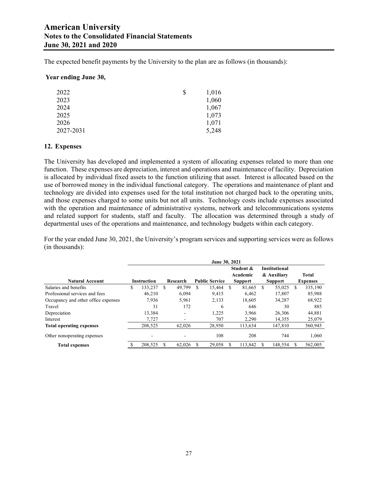The expected benefit payments by the University to the plan are as follows (in thousands):

#### **Year ending June 30,**

| 2022      | S | 1,016 |
|-----------|---|-------|
| 2023      |   | 1,060 |
| 2024      |   | 1,067 |
| 2025      |   | 1,073 |
| 2026      |   | 1,071 |
| 2027-2031 |   | 5,248 |

## **12. Expenses**

The University has developed and implemented a system of allocating expenses related to more than one function. These expenses are depreciation, interest and operations and maintenance of facility. Depreciation is allocated by individual fixed assets to the function utilizing that asset. Interest is allocated based on the use of borrowed money in the individual functional category. The operations and maintenance of plant and technology are divided into expenses used for the total institution not charged back to the operating units, and those expenses charged to some units but not all units. Technology costs include expenses associated with the operation and maintenance of administrative systems, network and telecommunications systems and related support for students, staff and faculty. The allocation was determined through a study of departmental uses of the operations and maintenance, and technology budgets within each category.

For the year ended June 30, 2021, the University's program services and supporting services were as follows (in thousands):

|                                     | <b>June 30, 2021</b> |                    |   |          |     |                       |    |                |     |                      |   |                 |
|-------------------------------------|----------------------|--------------------|---|----------|-----|-----------------------|----|----------------|-----|----------------------|---|-----------------|
|                                     |                      |                    |   |          |     |                       |    | Student &      |     | <b>Institutional</b> |   |                 |
|                                     |                      |                    |   |          |     |                       |    | Academic       |     | & Auxiliary          |   | <b>Total</b>    |
| <b>Natural Account</b>              |                      | <b>Instruction</b> |   | Research |     | <b>Public Service</b> |    | <b>Support</b> |     | <b>Support</b>       |   | <b>Expenses</b> |
| Salaries and benefits               | \$                   | 133.237            | S | 49,799   | \$. | 15.464                | -S | 81,665         | \$. | 55,025               | S | 335,190         |
| Professional services and fees      |                      | 46,210             |   | 6,094    |     | 9,415                 |    | 6,462          |     | 17,807               |   | 85,988          |
| Occupancy and other office expenses |                      | 7.936              |   | 5.961    |     | 2,133                 |    | 18.605         |     | 34,287               |   | 68,922          |
| Travel                              |                      | 31                 |   | 172      |     | 6                     |    | 646            |     | 30                   |   | 885             |
| Depreciation                        |                      | 13,384             |   | ۰        |     | 1,225                 |    | 3,966          |     | 26,306               |   | 44,881          |
| Interest                            |                      | 7.727              |   | ۰        |     | 707                   |    | 2,290          |     | 14,355               |   | 25,079          |
| <b>Total operating expenses</b>     |                      | 208,525            |   | 62,026   |     | 28,950                |    | 113,634        |     | 147,810              |   | 560,945         |
| Other nonoperating expenses         |                      | -                  |   | ۰        |     | 108                   |    | 208            |     | 744                  |   | 1,060           |
| <b>Total expenses</b>               |                      | 208,525            |   | 62,026   |     | 29.058                |    | 113,842        |     | 148.554              |   | 562,005         |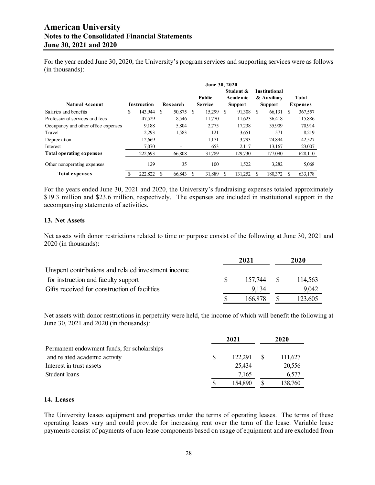For the year ended June 30, 2020, the University's program services and supporting services were as follows (in thousands):

|                                     | June 30, 2020      |         |                            |                          |    |                |    |           |                      |                |         |                 |
|-------------------------------------|--------------------|---------|----------------------------|--------------------------|----|----------------|----|-----------|----------------------|----------------|---------|-----------------|
|                                     |                    |         |                            |                          |    |                |    | Student & | <b>Institutional</b> |                |         |                 |
|                                     |                    |         |                            |                          |    | <b>Public</b>  |    | Academic  | & Auxiliary          |                | Total   |                 |
| <b>Natural Account</b>              | <b>Instruction</b> |         | Research<br><b>Service</b> |                          |    | <b>Support</b> |    |           |                      | <b>Support</b> |         | <b>Expenses</b> |
| Salaries and benefits               | \$                 | 143,944 | S                          | 50,875                   | -S | 15,299         | \$ | 91,308    | \$<br>66,131         | \$.            | 367,557 |                 |
| Professional services and fees      |                    | 47.529  |                            | 8.546                    |    | 11,770         |    | 11.623    | 36.418               |                | 115,886 |                 |
| Occupancy and other office expenses |                    | 9.188   |                            | 5,804                    |    | 2.775          |    | 17,238    | 35,909               |                | 70.914  |                 |
| Travel                              |                    | 2,293   |                            | 1,583                    |    | 121            |    | 3,651     | 571                  |                | 8.219   |                 |
| Depreciation                        |                    | 12,669  |                            | $\overline{\phantom{0}}$ |    | 1,171          |    | 3,793     | 24,894               |                | 42,527  |                 |
| Interest                            |                    | 7.070   |                            | ٠                        |    | 653            |    | 2.117     | 13.167               |                | 23,007  |                 |
| <b>Total operating expenses</b>     |                    | 222.693 |                            | 66,808                   |    | 31.789         |    | 129,730   | 177,090              |                | 628,110 |                 |
| Other nonoperating expenses         |                    | 129     |                            | 35                       |    | 100            |    | 1,522     | 3.282                |                | 5,068   |                 |
| <b>Total expenses</b>               |                    | 222,822 |                            | 66.843                   |    | 31.889         | S  | 131.252   | 180,372              |                | 633,178 |                 |

For the years ended June 30, 2021 and 2020, the University's fundraising expenses totaled approximately \$19.3 million and \$23.6 million, respectively. The expenses are included in institutional support in the accompanying statements of activities.

#### **13. Net Assets**

Net assets with donor restrictions related to time or purpose consist of the following at June 30, 2021 and 2020 (in thousands):

|                                                     | 2021 |            | 2020    |  |
|-----------------------------------------------------|------|------------|---------|--|
| Unspent contributions and related investment income |      |            |         |  |
| for instruction and faculty support                 |      | 157,744 \$ | 114.563 |  |
| Gifts received for construction of facilities       |      | 9.134      | 9.042   |  |
|                                                     |      | 166.878    | 123.605 |  |

Net assets with donor restrictions in perpetuity were held, the income of which will benefit the following at June 30, 2021 and 2020 (in thousands):

|                                             | 2021 |         | 2020    |  |
|---------------------------------------------|------|---------|---------|--|
| Permanent endowment funds, for scholarships |      |         |         |  |
| and related academic activity               |      | 122.291 | 111,627 |  |
| Interest in trust assets                    |      | 25.434  | 20,556  |  |
| Student loans                               |      | 7,165   | 6,577   |  |
|                                             |      | 154,890 | 138,760 |  |

#### **14. Leases**

The University leases equipment and properties under the terms of operating leases. The terms of these operating leases vary and could provide for increasing rent over the term of the lease. Variable lease payments consist of payments of non-lease components based on usage of equipment and are excluded from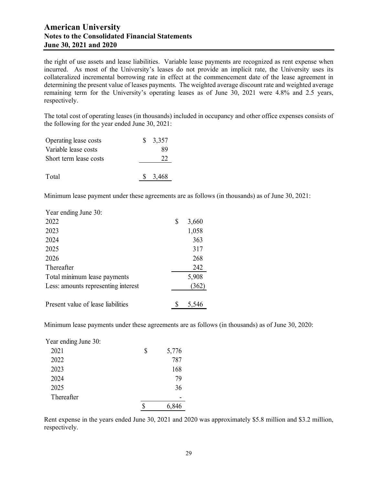the right of use assets and lease liabilities. Variable lease payments are recognized as rent expense when incurred. As most of the University's leases do not provide an implicit rate, the University uses its collateralized incremental borrowing rate in effect at the commencement date of the lease agreement in determining the present value of leases payments. The weighted average discount rate and weighted average remaining term for the University's operating leases as of June 30, 2021 were 4.8% and 2.5 years, respectively.

The total cost of operating leases (in thousands) included in occupancy and other office expenses consists of the following for the year ended June 30, 2021:

| Operating lease costs  | $\frac{1}{2}$ 3.357 |
|------------------------|---------------------|
| Variable lease costs   | 89                  |
| Short term lease costs | 22                  |
|                        |                     |
| Total                  | \$3,468             |

Minimum lease payment under these agreements are as follows (in thousands) as of June 30, 2021:

| Year ending June 30:                |             |
|-------------------------------------|-------------|
| 2022                                | \$<br>3,660 |
| 2023                                | 1,058       |
| 2024                                | 363         |
| 2025                                | 317         |
| 2026                                | 268         |
| Thereafter                          | 242         |
| Total minimum lease payments        | 5,908       |
| Less: amounts representing interest | (362)       |
| Present value of lease liabilities  | 5.546       |

Minimum lease payments under these agreements are as follows (in thousands) as of June 30, 2020:

| Year ending June 30: |   |       |
|----------------------|---|-------|
| 2021                 | S | 5,776 |
| 2022                 |   | 787   |
| 2023                 |   | 168   |
| 2024                 |   | 79    |
| 2025                 |   | 36    |
| Thereafter           |   |       |

Rent expense in the years ended June 30, 2021 and 2020 was approximately \$5.8 million and \$3.2 million, respectively.

\$ 6,846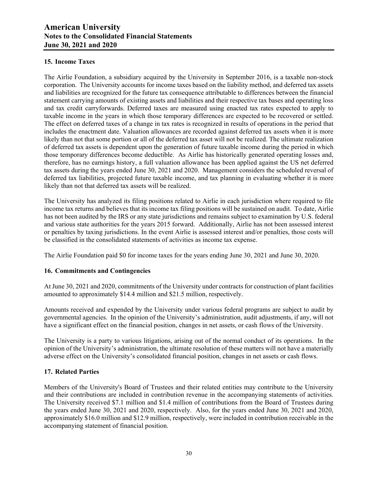## **15. Income Taxes**

The Airlie Foundation, a subsidiary acquired by the University in September 2016, is a taxable non-stock corporation. The University accounts for income taxes based on the liability method, and deferred tax assets and liabilities are recognized for the future tax consequence attributable to differences between the financial statement carrying amounts of existing assets and liabilities and their respective tax bases and operating loss and tax credit carryforwards. Deferred taxes are measured using enacted tax rates expected to apply to taxable income in the years in which those temporary differences are expected to be recovered or settled. The effect on deferred taxes of a change in tax rates is recognized in results of operations in the period that includes the enactment date. Valuation allowances are recorded against deferred tax assets when it is more likely than not that some portion or all of the deferred tax asset will not be realized. The ultimate realization of deferred tax assets is dependent upon the generation of future taxable income during the period in which those temporary differences become deductible. As Airlie has historically generated operating losses and, therefore, has no earnings history, a full valuation allowance has been applied against the US net deferred tax assets during the years ended June 30, 2021 and 2020. Management considers the scheduled reversal of deferred tax liabilities, projected future taxable income, and tax planning in evaluating whether it is more likely than not that deferred tax assets will be realized.

The University has analyzed its filing positions related to Airlie in each jurisdiction where required to file income tax returns and believes that its income tax filing positions will be sustained on audit. To date, Airlie has not been audited by the IRS or any state jurisdictions and remains subject to examination by U.S. federal and various state authorities for the years 2015 forward. Additionally, Airlie has not been assessed interest or penalties by taxing jurisdictions. In the event Airlie is assessed interest and/or penalties, those costs will be classified in the consolidated statements of activities as income tax expense.

The Airlie Foundation paid \$0 for income taxes for the years ending June 30, 2021 and June 30, 2020.

## **16. Commitments and Contingencies**

At June 30, 2021 and 2020, commitments of the University under contracts for construction of plant facilities amounted to approximately \$14.4 million and \$21.5 million, respectively.

Amounts received and expended by the University under various federal programs are subject to audit by governmental agencies. In the opinion of the University's administration, audit adjustments, if any, will not have a significant effect on the financial position, changes in net assets, or cash flows of the University.

The University is a party to various litigations, arising out of the normal conduct of its operations. In the opinion of the University's administration, the ultimate resolution of these matters will not have a materially adverse effect on the University's consolidated financial position, changes in net assets or cash flows.

#### **17. Related Parties**

Members of the University's Board of Trustees and their related entities may contribute to the University and their contributions are included in contribution revenue in the accompanying statements of activities. The University received \$7.1 million and \$1.4 million of contributions from the Board of Trustees during the years ended June 30, 2021 and 2020, respectively. Also, for the years ended June 30, 2021 and 2020, approximately \$16.0 million and \$12.9 million, respectively, were included in contribution receivable in the accompanying statement of financial position.